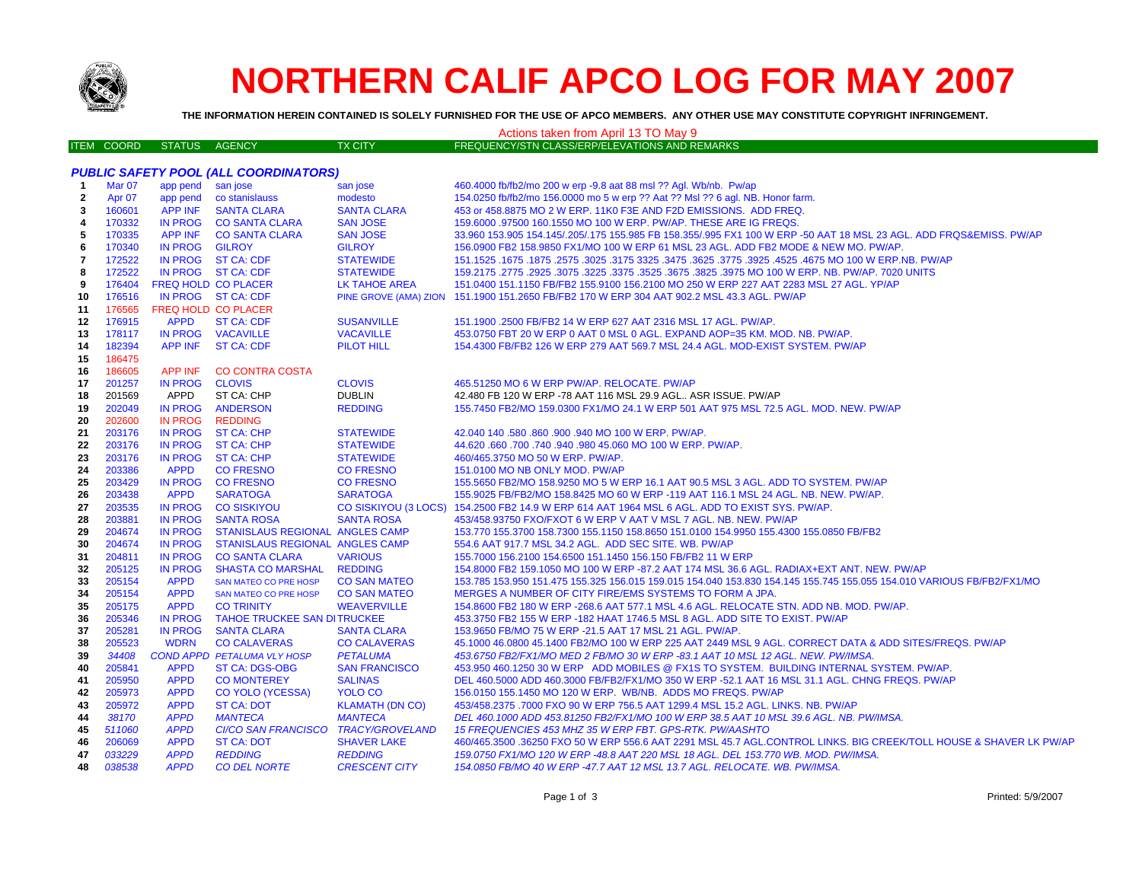

## **NORTHERN CALIF APCO LOG FOR MAY 2007**

**THE INFORMATION HEREIN CONTAINED IS SOLELY FURNISHED FOR THE USE OF APCO MEMBERS. ANY OTHER USE MAY CONSTITUTE COPYRIGHT INFRINGEMENT.**

|                |                   |                            |                                              |                        | Actions taken from April 13 TO May 9                                                                                  |  |
|----------------|-------------------|----------------------------|----------------------------------------------|------------------------|-----------------------------------------------------------------------------------------------------------------------|--|
|                | <b>ITEM COORD</b> | STATUS AGENCY              |                                              | <b>TX CITY</b>         | FREQUENCY/STN CLASS/ERP/ELEVATIONS AND REMARKS                                                                        |  |
|                |                   |                            |                                              |                        |                                                                                                                       |  |
|                |                   |                            | <b>PUBLIC SAFETY POOL (ALL COORDINATORS)</b> |                        |                                                                                                                       |  |
| $\overline{1}$ | Mar 07            | app pend                   | san jose                                     | san jose               | 460.4000 fb/fb2/mo 200 w erp -9.8 aat 88 msl ?? Agl. Wb/nb. Pw/ap                                                     |  |
| $\mathbf{2}$   | Apr <sub>07</sub> | app pend                   | co stanislauss                               | modesto                | 154.0250 fb/fb2/mo 156.0000 mo 5 w erp ?? Aat ?? Msl ?? 6 agl. NB. Honor farm.                                        |  |
| 3              | 160601            | <b>APP INF</b>             | <b>SANTA CLARA</b>                           | <b>SANTA CLARA</b>     | 453 or 458.8875 MO 2 W ERP. 11K0 F3E AND F2D EMISSIONS. ADD FREQ.                                                     |  |
| 4              | 170332            | <b>IN PROG</b>             | <b>CO SANTA CLARA</b>                        | <b>SAN JOSE</b>        | 159,6000 .97500 160.1550 MO 100 W ERP. PW/AP. THESE ARE IG FREQS.                                                     |  |
| -5             | 170335            | APP INF                    | <b>CO SANTA CLARA</b>                        | <b>SAN JOSE</b>        | 33.960 153.905 154.145/.205/.175 155.985 FB 158.355/.995 FX1 100 W ERP -50 AAT 18 MSL 23 AGL. ADD FRQS&EMISS. PW/AP   |  |
| 6              | 170340            | IN PROG                    | <b>GILROY</b>                                | <b>GILROY</b>          | 156.0900 FB2 158.9850 FX1/MO 100 W ERP 61 MSL 23 AGL. ADD FB2 MODE & NEW MO. PW/AP.                                   |  |
| 7              | 172522            |                            | IN PROG ST CA: CDF                           | <b>STATEWIDE</b>       | 151.1525 .1675 .1677 .3325 .4525 .4525 .3925 .3775 .3625 .3775 .3625 .3775 .3925 .1675 .1677 .1625 .1679 .167         |  |
| 8              | 172522            |                            | IN PROG ST CA: CDF                           | <b>STATEWIDE</b>       | 159.2175 .2775 .2925 .3075 .3225 .3675 .3825 .3825 .3825 .3975 MO 100 W ERP. NB. PW/AP. 7020 UNITS                    |  |
| 9              | 176404            | <b>FREQ HOLD CO PLACER</b> |                                              | LK TAHOE AREA          | 151.0400 151.1150 FB/FB2 155.9100 156.2100 MO 250 W ERP 227 AAT 2283 MSL 27 AGL. YP/AP                                |  |
| 10             | 176516            |                            | IN PROG ST CA: CDF                           |                        | PINE GROVE (AMA) ZION 151.1900 151.2650 FB/FB2 170 W ERP 304 AAT 902.2 MSL 43.3 AGL. PW/AP                            |  |
| 11             | 176565            | FREQ HOLD CO PLACER        |                                              |                        |                                                                                                                       |  |
| 12             | 176915            | <b>APPD</b>                | <b>ST CA: CDF</b>                            | <b>SUSANVILLE</b>      | 151.1900 .2500 FB/FB2 14 W ERP 627 AAT 2316 MSL 17 AGL. PW/AP.                                                        |  |
| 13             | 178117            | <b>IN PROG</b>             | <b>VACAVILLE</b>                             | <b>VACAVILLE</b>       | 453.0750 FBT 20 W ERP 0 AAT 0 MSL 0 AGL. EXPAND AOP=35 KM. MOD. NB. PW/AP.                                            |  |
| 14             | 182394            | <b>APP INF</b>             | <b>ST CA: CDF</b>                            | <b>PILOT HILL</b>      | 154,4300 FB/FB2 126 W ERP 279 AAT 569.7 MSL 24.4 AGL, MOD-EXIST SYSTEM, PW/AP                                         |  |
| 15             | 186475            |                            |                                              |                        |                                                                                                                       |  |
| 16             | 186605            | APP INF                    | <b>CO CONTRA COSTA</b>                       |                        |                                                                                                                       |  |
| 17             | 201257            | <b>IN PROG</b>             | <b>CLOVIS</b>                                | <b>CLOVIS</b>          | 465.51250 MO 6 W ERP PW/AP. RELOCATE. PW/AP                                                                           |  |
| 18             | 201569            | APPD                       | ST CA: CHP                                   | <b>DUBLIN</b>          | 42.480 FB 120 W ERP -78 AAT 116 MSL 29.9 AGL ASR ISSUE. PW/AP                                                         |  |
| 19             | 202049            | <b>IN PROG</b>             | <b>ANDERSON</b>                              | <b>REDDING</b>         | 155.7450 FB2/MO 159.0300 FX1/MO 24.1 W ERP 501 AAT 975 MSL 72.5 AGL. MOD. NEW. PW/AP                                  |  |
| 20             | 202600            | <b>IN PROG</b>             | <b>REDDING</b>                               |                        |                                                                                                                       |  |
| 21             | 203176            | <b>IN PROG</b>             | <b>ST CA: CHP</b>                            | <b>STATEWIDE</b>       | 42.040 140 .580 .860 .900 .940 MO 100 W ERP. PW/AP.                                                                   |  |
| 22             | 203176            | <b>IN PROG</b>             | <b>ST CA: CHP</b>                            | <b>STATEWIDE</b>       | 44.620 .660 .700 .740 .940 .980 45.060 MO 100 W ERP. PW/AP.                                                           |  |
| 23             | 203176            | <b>IN PROG</b>             | <b>ST CA: CHP</b>                            | <b>STATEWIDE</b>       | 460/465.3750 MO 50 W ERP. PW/AP.                                                                                      |  |
| 24             | 203386            | <b>APPD</b>                | <b>CO FRESNO</b>                             | <b>CO FRESNO</b>       | 151.0100 MO NB ONLY MOD. PW/AP                                                                                        |  |
| 25             | 203429            | <b>IN PROG</b>             | <b>CO FRESNO</b>                             | <b>CO FRESNO</b>       | 155.5650 FB2/MO 158.9250 MO 5 W ERP 16.1 AAT 90.5 MSL 3 AGL. ADD TO SYSTEM. PW/AP                                     |  |
| 26             | 203438            | <b>APPD</b>                | <b>SARATOGA</b>                              | <b>SARATOGA</b>        | 155.9025 FB/FB2/MO 158.8425 MO 60 W ERP -119 AAT 116.1 MSL 24 AGL. NB. NEW. PW/AP.                                    |  |
| 27             | 203535            | <b>IN PROG</b>             | <b>CO SISKIYOU</b>                           |                        | CO SISKIYOU (3 LOCS) 154.2500 FB2 14.9 W ERP 614 AAT 1964 MSL 6 AGL. ADD TO EXIST SYS. PW/AP.                         |  |
| 28             | 203881            | <b>IN PROG</b>             | <b>SANTA ROSA</b>                            | <b>SANTA ROSA</b>      | 453/458.93750 FXO/FXOT 6 W ERP V AAT V MSL 7 AGL. NB. NEW. PW/AP                                                      |  |
| 29             | 204674            | <b>IN PROG</b>             | <b>STANISLAUS REGIONAL ANGLES CAMP</b>       |                        | 153.770 155.3700 158.7300 155.1150 158.8650 151.0100 154.9950 155.4300 155.0850 FB/FB2                                |  |
| 30             | 204674            | <b>IN PROG</b>             | STANISLAUS REGIONAL ANGLES CAMP              |                        | 554.6 AAT 917.7 MSL 34.2 AGL. ADD SEC SITE. WB. PW/AP                                                                 |  |
| 31             | 204811            | <b>IN PROG</b>             | <b>CO SANTA CLARA</b>                        | <b>VARIOUS</b>         | 155.7000 156.2100 154.6500 151.1450 156.150 FB/FB2 11 W ERP                                                           |  |
| 32             | 205125            | <b>IN PROG</b>             | <b>SHASTA CO MARSHAL</b>                     | <b>REDDING</b>         | 154.8000 FB2 159.1050 MO 100 W ERP -87.2 AAT 174 MSL 36.6 AGL. RADIAX+EXT ANT. NEW. PW/AP                             |  |
| 33             | 205154            | <b>APPD</b>                | SAN MATEO CO PRE HOSP                        | <b>CO SAN MATEO</b>    | 153.785 153.950 151.475 155.325 156.015 159.015 154.040 153.830 154.145 155.745 155.055 154.010 VARIOUS FB/FB2/FX1/MO |  |
| 34             | 205154            | <b>APPD</b>                | <b>SAN MATEO CO PRE HOSP</b>                 | <b>CO SAN MATEO</b>    | MERGES A NUMBER OF CITY FIRE/EMS SYSTEMS TO FORM A JPA.                                                               |  |
| 35             | 205175            | <b>APPD</b>                | <b>CO TRINITY</b>                            | <b>WEAVERVILLE</b>     | 154.8600 FB2 180 W ERP -268.6 AAT 577.1 MSL 4.6 AGL. RELOCATE STN. ADD NB. MOD. PW/AP.                                |  |
| 36             | 205346            | <b>IN PROG</b>             | <b>TAHOE TRUCKEE SAN DITRUCKEE</b>           |                        | 453.3750 FB2 155 W ERP -182 HAAT 1746.5 MSL 8 AGL. ADD SITE TO EXIST. PW/AP                                           |  |
| 37             | 205281            | <b>IN PROG</b>             | <b>SANTA CLARA</b>                           | <b>SANTA CLARA</b>     | 153.9650 FB/MO 75 W ERP -21.5 AAT 17 MSL 21 AGL. PW/AP.                                                               |  |
| 38             | 205523            | <b>WDRN</b>                | <b>CO CALAVERAS</b>                          | <b>CO CALAVERAS</b>    | 45.1000 46.0800 45.1400 FB2/MO 100 W ERP 225 AAT 2449 MSL 9 AGL. CORRECT DATA & ADD SITES/FREQS. PW/AP                |  |
| 39             | 34408             |                            | <b>COND APPD PETALUMA VLY HOSP</b>           | <b>PETALUMA</b>        | 453.6750 FB2/FX1/MO MED 2 FB/MO 30 W ERP -83.1 AAT 10 MSL 12 AGL. NEW. PW/IMSA.                                       |  |
| 40             | 205841            | <b>APPD</b>                | <b>ST CA: DGS-OBG</b>                        | <b>SAN FRANCISCO</b>   | 453.950 460.1250 30 W ERP ADD MOBILES @ FX1S TO SYSTEM. BUILDING INTERNAL SYSTEM. PW/AP.                              |  |
| 41             | 205950            | <b>APPD</b>                | <b>CO MONTEREY</b>                           | <b>SALINAS</b>         | DEL 460.5000 ADD 460.3000 FB/FB2/FX1/MO 350 W ERP -52.1 AAT 16 MSL 31.1 AGL. CHNG FREQS. PW/AP                        |  |
| 42             | 205973            | <b>APPD</b>                | CO YOLO (YCESSA)                             | <b>YOLO CO</b>         | 156.0150 155.1450 MO 120 W ERP. WB/NB. ADDS MO FREQS. PW/AP                                                           |  |
| 43             | 205972            | <b>APPD</b>                | <b>ST CA: DOT</b>                            | <b>KLAMATH (DN CO)</b> | 453/458.2375 .7000 FXO 90 W ERP 756.5 AAT 1299.4 MSL 15.2 AGL. LINKS. NB. PW/AP                                       |  |
| 44             | 38170             | <b>APPD</b>                | <b>MANTECA</b>                               | <b>MANTECA</b>         | DEL 460.1000 ADD 453.81250 FB2/FX1/MO 100 W ERP 38.5 AAT 10 MSL 39.6 AGL. NB. PW/IMSA.                                |  |
| 45             | 511060            | <b>APPD</b>                | CI/CO SAN FRANCISCO TRACY/GROVELAND          |                        | 15 FREQUENCIES 453 MHZ 35 W ERP FBT. GPS-RTK. PW/AASHTO                                                               |  |
| 46             | 206069            | <b>APPD</b>                | <b>ST CA: DOT</b>                            | <b>SHAVER LAKE</b>     | 460/465.3500 .36250 FXO 50 W ERP 556.6 AAT 2291 MSL 45.7 AGL.CONTROL LINKS. BIG CREEK/TOLL HOUSE & SHAVER LK PW/AP    |  |
| 47             | 033229            | <b>APPD</b>                | <b>REDDING</b>                               | <b>REDDING</b>         | 159.0750 FX1/MO 120 W ERP -48.8 AAT 220 MSL 18 AGL. DEL 153.770 WB. MOD. PW/IMSA.                                     |  |
| 48             | 038538            | <b>APPD</b>                | <b>CO DEL NORTE</b>                          | <b>CRESCENT CITY</b>   | 154.0850 FB/MO 40 W ERP -47.7 AAT 12 MSL 13.7 AGL. RELOCATE. WB. PW/IMSA.                                             |  |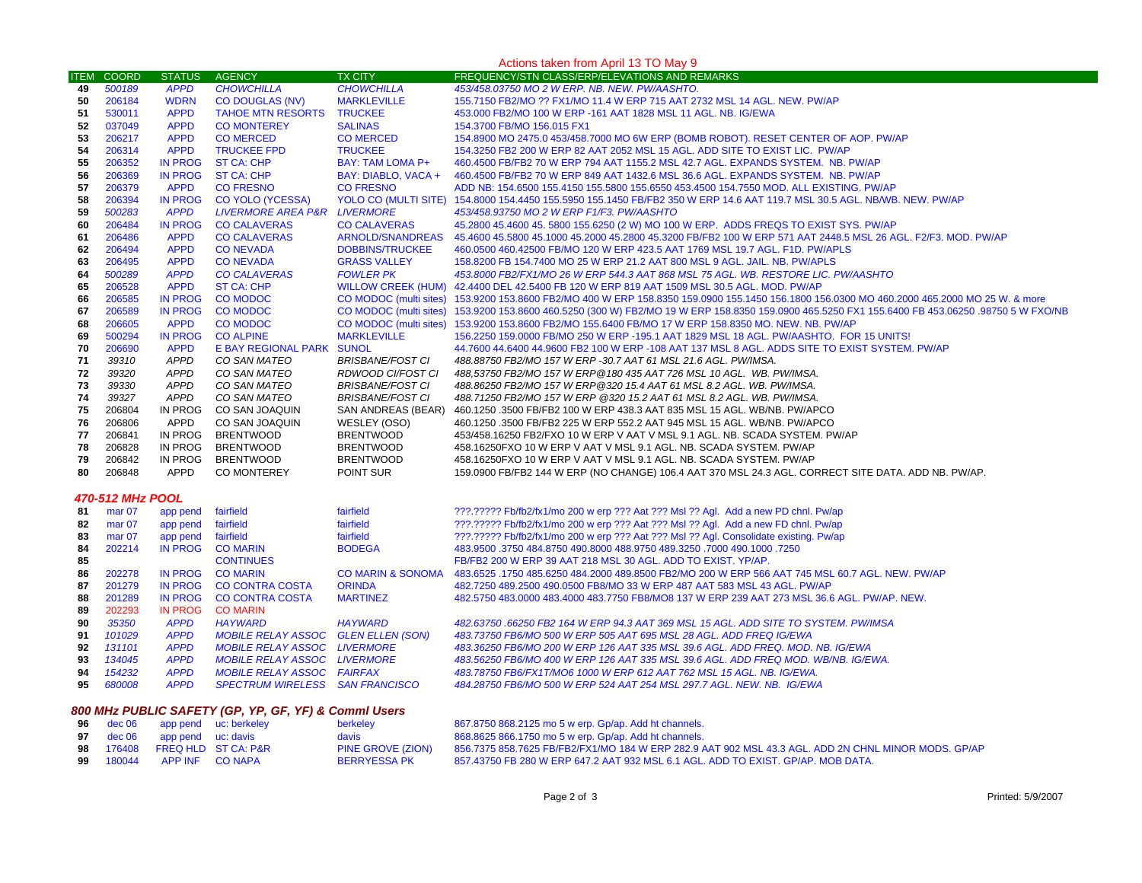## Actions taken from April 13 TO May 9

| <b>ITEM</b>                                          | <b>COORD</b>      | <b>STATUS</b>  | <b>AGENCY</b>                              | <b>TX CITY</b>               | FREQUENCY/STN CLASS/ERP/ELEVATIONS AND REMARKS                                                                                              |
|------------------------------------------------------|-------------------|----------------|--------------------------------------------|------------------------------|---------------------------------------------------------------------------------------------------------------------------------------------|
| 49                                                   | 500189            | <b>APPD</b>    | <b>CHOWCHILLA</b>                          | <b>CHOWCHILLA</b>            | 453/458.03750 MO 2 W ERP. NB. NEW. PW/AASHTO.                                                                                               |
| 50                                                   | 206184            | <b>WDRN</b>    | <b>CO DOUGLAS (NV)</b>                     | <b>MARKLEVILLE</b>           | 155.7150 FB2/MO ?? FX1/MO 11.4 W ERP 715 AAT 2732 MSL 14 AGL. NEW. PW/AP                                                                    |
| 51                                                   | 530011            | <b>APPD</b>    | <b>TAHOE MTN RESORTS</b>                   | <b>TRUCKEE</b>               | 453.000 FB2/MO 100 W ERP -161 AAT 1828 MSL 11 AGL. NB. IG/EWA                                                                               |
| 52                                                   | 037049            | <b>APPD</b>    | <b>CO MONTEREY</b>                         | <b>SALINAS</b>               | 154.3700 FB/MO 156.015 FX1                                                                                                                  |
| 53                                                   | 206217            | <b>APPD</b>    | <b>CO MERCED</b>                           | <b>CO MERCED</b>             | 154.8900 MO 2475.0 453/458.7000 MO 6W ERP (BOMB ROBOT). RESET CENTER OF AOP. PW/AP                                                          |
| 54                                                   | 206314            | <b>APPD</b>    | <b>TRUCKEE FPD</b>                         | <b>TRUCKEE</b>               | 154.3250 FB2 200 W ERP 82 AAT 2052 MSL 15 AGL. ADD SITE TO EXIST LIC. PW/AP                                                                 |
| 55                                                   | 206352            | <b>IN PROG</b> | <b>ST CA: CHP</b>                          | <b>BAY: TAM LOMA P+</b>      | 460.4500 FB/FB2 70 W ERP 794 AAT 1155.2 MSL 42.7 AGL. EXPANDS SYSTEM. NB. PW/AP                                                             |
| 56                                                   | 206369            | <b>IN PROG</b> | <b>ST CA: CHP</b>                          | BAY: DIABLO, VACA +          | 460.4500 FB/FB2 70 W ERP 849 AAT 1432.6 MSL 36.6 AGL. EXPANDS SYSTEM. NB. PW/AP                                                             |
| 57                                                   | 206379            | <b>APPD</b>    | <b>CO FRESNO</b>                           | <b>CO FRESNO</b>             | ADD NB: 154.6500 155.4150 155.5800 155.6550 453.4500 154.7550 MOD. ALL EXISTING. PW/AP                                                      |
| 58                                                   | 206394            | <b>IN PROG</b> | <b>CO YOLO (YCESSA)</b>                    |                              | YOLO CO (MULTI SITE) 154.8000 154.4450 155.5950 155.1450 FB/FB2 350 W ERP 14.6 AAT 119.7 MSL 30.5 AGL. NB/WB. NEW. PW/AP                    |
| 59                                                   | 500283            | <b>APPD</b>    | <b>LIVERMORE AREA P&amp;R</b>              | <b>LIVERMORE</b>             | 453/458.93750 MO 2 W ERP F1/F3. PW/AASHTO                                                                                                   |
| 60                                                   | 206484            | <b>IN PROG</b> | <b>CO CALAVERAS</b>                        | <b>CO CALAVERAS</b>          | 45.2800 45.4600 45.5800 155.6250 (2 W) MO 100 W ERP. ADDS FREQS TO EXIST SYS. PW/AP                                                         |
| 61                                                   | 206486            | <b>APPD</b>    | <b>CO CALAVERAS</b>                        | ARNOLD/SNANDREAS             | 45.4600 45.5800 45.1000 45.2000 45.2800 45.3200 FB/FB2 100 W ERP 571 AAT 2448.5 MSL 26 AGL. F2/F3. MOD. PW/AP                               |
| 62                                                   | 206494            | <b>APPD</b>    | <b>CONEVADA</b>                            | <b>DOBBINS/TRUCKEE</b>       | 460.0500 460.42500 FB/MO 120 W ERP 423.5 AAT 1769 MSL 19.7 AGL. F1D. PW/APLS                                                                |
| 63                                                   | 206495            | <b>APPD</b>    | <b>CONEVADA</b>                            | <b>GRASS VALLEY</b>          | 158.8200 FB 154.7400 MO 25 W ERP 21.2 AAT 800 MSL 9 AGL. JAIL. NB. PW/APLS                                                                  |
| 64                                                   | 500289            | <b>APPD</b>    | <b>CO CALAVERAS</b>                        | <b>FOWLER PK</b>             | 453.8000 FB2/FX1/MO 26 W ERP 544.3 AAT 868 MSL 75 AGL. WB. RESTORE LIC. PW/AASHTO                                                           |
| 65                                                   | 206528            | <b>APPD</b>    | <b>ST CA: CHP</b>                          |                              | WILLOW CREEK (HUM) 42.4400 DEL 42.5400 FB 120 W ERP 819 AAT 1509 MSL 30.5 AGL. MOD. PW/AP                                                   |
| 66                                                   | 206585            | <b>IN PROG</b> | <b>CO MODOC</b>                            |                              | CO MODOC (multi sites) 153.9200 153.8600 FB2/MO 400 W ERP 158.8350 159.0900 155.1450 156.1800 156.0300 MO 460.2000 465.2000 MO 25 W. & more |
| 67                                                   | 206589            | <b>IN PROG</b> | <b>CO MODOC</b>                            | CO MODOC (multi sites)       | 153.9200 153.8600 460.5250 (300 W) FB2/MO 19 W ERP 158.8350 159.0900 465.5250 FX1 155.6400 FB 453.06250 .98750 5 W FXO/NB                   |
| 68                                                   | 206605            | <b>APPD</b>    | <b>CO MODOC</b>                            | CO MODOC (multi sites)       | 153.9200 153.8600 FB2/MO 155.6400 FB/MO 17 W ERP 158.8350 MO. NEW. NB. PW/AP                                                                |
| 69                                                   | 500294            | <b>IN PROG</b> | <b>CO ALPINE</b>                           | <b>MARKLEVILLE</b>           | 156.2250 159.0000 FB/MO 250 W ERP -195.1 AAT 1829 MSL 18 AGL. PW/AASHTO. FOR 15 UNITS!                                                      |
| 70                                                   | 206690            | <b>APPD</b>    | E BAY REGIONAL PARK SUNOL                  |                              | 44.7600 44.6400 44.9600 FB2 100 W ERP -108 AAT 137 MSL 8 AGL. ADDS SITE TO EXIST SYSTEM. PW/AP                                              |
| 71                                                   | 39310             | <b>APPD</b>    | CO SAN MATEO                               | <b>BRISBANE/FOST CI</b>      | 488.88750 FB2/MO 157 W ERP -30.7 AAT 61 MSL 21.6 AGL. PW/IMSA.                                                                              |
| 72                                                   | 39320             | <b>APPD</b>    | CO SAN MATEO                               | RDWOOD CI/FOST CI            | 488,53750 FB2/MO 157 W ERP@180 435 AAT 726 MSL 10 AGL. WB. PW/IMSA.                                                                         |
| 73                                                   | 39330             | <b>APPD</b>    | CO SAN MATEO                               | <b>BRISBANE/FOST CI</b>      | 488.86250 FB2/MO 157 W ERP@320 15.4 AAT 61 MSL 8.2 AGL. WB. PW/IMSA.                                                                        |
| 74                                                   | 39327             | <b>APPD</b>    | CO SAN MATEO                               | <b>BRISBANE/FOST CI</b>      | 488.71250 FB2/MO 157 W ERP @320 15.2 AAT 61 MSL 8.2 AGL. WB. PW/IMSA.                                                                       |
| 75                                                   | 206804            | IN PROG        | CO SAN JOAQUIN                             | SAN ANDREAS (BEAR)           | 460.1250 .3500 FB/FB2 100 W ERP 438.3 AAT 835 MSL 15 AGL. WB/NB. PW/APCO                                                                    |
| 76                                                   | 206806            | APPD           | CO SAN JOAQUIN                             | WESLEY (OSO)                 | 460.1250 .3500 FB/FB2 225 W ERP 552.2 AAT 945 MSL 15 AGL. WB/NB. PW/APCO                                                                    |
| 77                                                   | 206841            | IN PROG        | <b>BRENTWOOD</b>                           | <b>BRENTWOOD</b>             | 453/458.16250 FB2/FXO 10 W ERP V AAT V MSL 9.1 AGL. NB. SCADA SYSTEM. PW/AP                                                                 |
| 78                                                   | 206828            | IN PROG        | <b>BRENTWOOD</b>                           | <b>BRENTWOOD</b>             | 458.16250FXO 10 W ERP V AAT V MSL 9.1 AGL. NB. SCADA SYSTEM. PW/AP                                                                          |
| 79                                                   | 206842            | IN PROG        | <b>BRENTWOOD</b>                           | <b>BRENTWOOD</b>             | 458.16250FXO 10 W ERP V AAT V MSL 9.1 AGL. NB. SCADA SYSTEM. PW/AP                                                                          |
| 80                                                   | 206848            | APPD           | <b>CO MONTEREY</b>                         | POINT SUR                    | 159.0900 FB/FB2 144 W ERP (NO CHANGE) 106.4 AAT 370 MSL 24.3 AGL. CORRECT SITE DATA. ADD NB. PW/AP.                                         |
|                                                      | 470-512 MHz POOL  |                |                                            |                              |                                                                                                                                             |
| 81                                                   | mar <sub>07</sub> | app pend       | fairfield                                  | fairfield                    | ???.????? Fb/fb2/fx1/mo 200 w erp ??? Aat ??? Msl ?? Agl. Add a new PD chnl. Pw/ap                                                          |
| 82                                                   | mar <sub>07</sub> | app pend       | fairfield                                  | fairfield                    | ???.????? Fb/fb2/fx1/mo 200 w erp ??? Aat ??? Msl ?? Agl. Add a new FD chnl. Pw/ap                                                          |
| 83                                                   | mar <sub>07</sub> | app pend       | fairfield                                  | fairfield                    | ???.????? Fb/fb2/fx1/mo 200 w erp ??? Aat ??? MsI ?? Agl. Consolidate existing. Pw/ap                                                       |
| 84                                                   | 202214            | <b>IN PROG</b> | <b>CO MARIN</b>                            | <b>BODEGA</b>                | 483.9500 .3750 484.8750 490.8000 488.9750 489.3250 .7000 490.1000 .7250                                                                     |
| 85                                                   |                   |                | <b>CONTINUES</b>                           |                              | FB/FB2 200 W ERP 39 AAT 218 MSL 30 AGL. ADD TO EXIST. YP/AP.                                                                                |
| 86                                                   | 202278            | <b>IN PROG</b> | <b>CO MARIN</b>                            | <b>CO MARIN &amp; SONOMA</b> | 483.6525 .1750 485.6250 484.2000 489.8500 FB2/MO 200 W ERP 566 AAT 745 MSL 60.7 AGL. NEW. PW/AP                                             |
| 87                                                   | 201279            | <b>IN PROG</b> | <b>CO CONTRA COSTA</b>                     | <b>ORINDA</b>                | 482.7250 489.2500 490.0500 FB8/MO 33 W ERP 487 AAT 583 MSL 43 AGL. PW/AP                                                                    |
| 88                                                   | 201289            | <b>IN PROG</b> | <b>CO CONTRA COSTA</b>                     | <b>MARTINEZ</b>              | 482.5750 483.0000 483.4000 483.7750 FB8/MO8 137 W ERP 239 AAT 273 MSL 36.6 AGL. PW/AP. NEW.                                                 |
| 89                                                   | 202293            | <b>IN PROG</b> | <b>CO MARIN</b>                            |                              |                                                                                                                                             |
| 90                                                   | 35350             | <b>APPD</b>    | <b>HAYWARD</b>                             | <b>HAYWARD</b>               | 482.63750 .66250 FB2 164 W ERP 94.3 AAT 369 MSL 15 AGL. ADD SITE TO SYSTEM. PW/IMSA                                                         |
| 91                                                   | 101029            | <b>APPD</b>    | <b>MOBILE RELAY ASSOC GLEN ELLEN (SON)</b> |                              | 483.73750 FB6/MO 500 W ERP 505 AAT 695 MSL 28 AGL. ADD FREQ IG/EWA                                                                          |
| 92                                                   | 131101            | <b>APPD</b>    | <b>MOBILE RELAY ASSOC LIVERMORE</b>        |                              | 483.36250 FB6/MO 200 W ERP 126 AAT 335 MSL 39.6 AGL. ADD FREQ. MOD. NB. IG/EWA                                                              |
| 93                                                   | 134045            | <b>APPD</b>    | <b>MOBILE RELAY ASSOC LIVERMORE</b>        |                              | 483.56250 FB6/MO 400 W ERP 126 AAT 335 MSL 39.6 AGL. ADD FREQ MOD. WB/NB. IG/EWA.                                                           |
| 94                                                   | 154232            | <b>APPD</b>    | <b>MOBILE RELAY ASSOC FAIRFAX</b>          |                              | 483.78750 FB6/FX1T/MO6 1000 W ERP 612 AAT 762 MSL 15 AGL. NB. IG/EWA.                                                                       |
| 95                                                   | 680008            | <b>APPD</b>    | SPECTRUM WIRELESS SAN FRANCISCO            |                              | 484.28750 FB6/MO 500 W ERP 524 AAT 254 MSL 297.7 AGL. NEW. NB. IG/EWA                                                                       |
| 800 MHz PUBLIC SAFETY (GP, YP, GF, YF) & Commi Users |                   |                |                                            |                              |                                                                                                                                             |
|                                                      |                   |                | 96 dec 06 app pend uc: berkeley            | berkelev                     | 867,8750 868,2125 mo 5 w erp. Gp/ap. Add ht channels.                                                                                       |
|                                                      |                   |                |                                            |                              |                                                                                                                                             |

|  |                                     | 96 dec 06 app pend uc: berkeley | berkeley            | 867.8750 868.2125 mo 5 w erp. Gp/ap. Add ht channels.                                               |
|--|-------------------------------------|---------------------------------|---------------------|-----------------------------------------------------------------------------------------------------|
|  | <b>97</b> dec 06 app pend uc: davis |                                 | davis               | 868.8625 866.1750 mo 5 w erp. Gp/ap. Add ht channels.                                               |
|  |                                     |                                 | PINE GROVE (ZION)   | 856.7375 858.7625 FB/FB2/FX1/MO 184 W ERP 282.9 AAT 902 MSL 43.3 AGL. ADD 2N CHNL MINOR MODS. GP/AP |
|  | <b>99</b> 180044 APPINF CONAPA      |                                 | <b>BERRYESSA PK</b> | 857.43750 FB 280 W ERP 647.2 AAT 932 MSL 6.1 AGL. ADD TO EXIST. GP/AP. MOB DATA.                    |